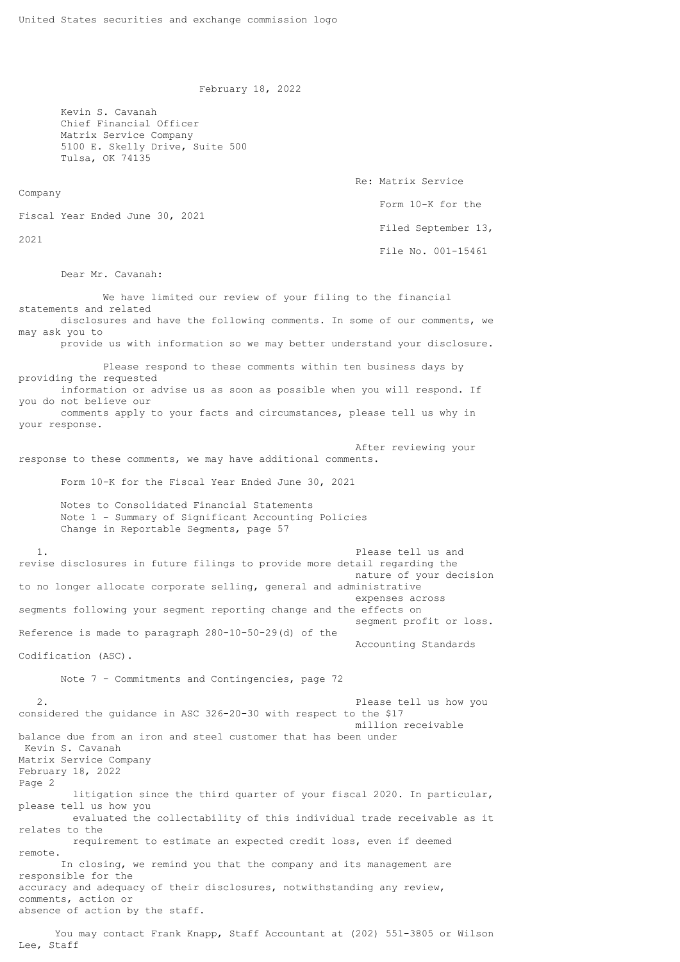February 18, 2022

 Kevin S. Cavanah Chief Financial Officer Matrix Service Company 5100 E. Skelly Drive, Suite 500 Tulsa, OK 74135

 Re: Matrix Service Form 10-K for the Fiscal Year Ended June 30, 2021 Filed September 13, File No. 001-15461

Dear Mr. Cavanah:

Company

2021

 We have limited our review of your filing to the financial statements and related disclosures and have the following comments. In some of our comments, we may ask you to provide us with information so we may better understand your disclosure. Please respond to these comments within ten business days by providing the requested information or advise us as soon as possible when you will respond. If you do not believe our comments apply to your facts and circumstances, please tell us why in your response. After reviewing your response to these comments, we may have additional comments. Form 10-K for the Fiscal Year Ended June 30, 2021 Notes to Consolidated Financial Statements Note 1 - Summary of Significant Accounting Policies Change in Reportable Segments, page 57 1. Please tell us and revise disclosures in future filings to provide more detail regarding the nature of your decision to no longer allocate corporate selling, general and administrative expenses across segments following your segment reporting change and the effects on segment profit or loss. Reference is made to paragraph 280-10-50-29(d) of the Accounting Standards Codification (ASC). Note 7 - Commitments and Contingencies, page 72 2. Please tell us how you considered the guidance in ASC 326-20-30 with respect to the \$17 million receivable balance due from an iron and steel customer that has been under Kevin S. Cavanah Matrix Service Company February 18, 2022 Page 2 litigation since the third quarter of your fiscal 2020. In particular, please tell us how you evaluated the collectability of this individual trade receivable as it relates to the requirement to estimate an expected credit loss, even if deemed remote. In closing, we remind you that the company and its management are responsible for the accuracy and adequacy of their disclosures, notwithstanding any review, comments, action or absence of action by the staff.

 You may contact Frank Knapp, Staff Accountant at (202) 551-3805 or Wilson Lee, Staff